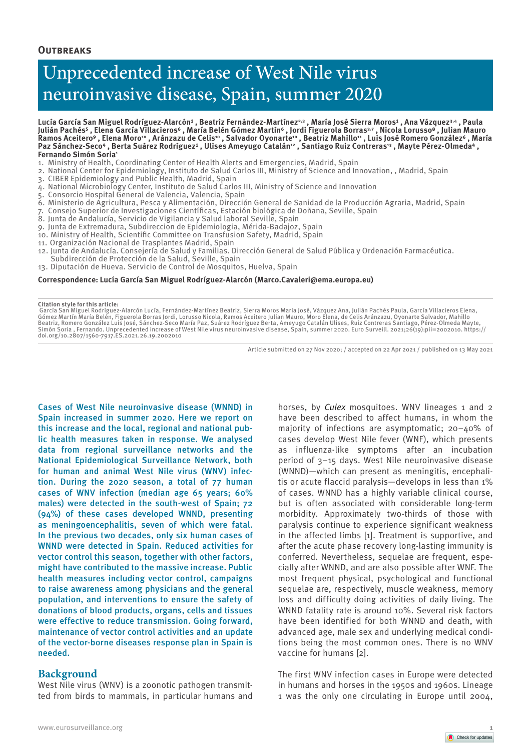## **Outbreaks**

# Unprecedented increase of West Nile virus neuroinvasive disease, Spain, summer 2020

Lucía García San Miguel Rodríguez-Alarcón<sup>1</sup>, Beatriz Fernández-Martínez<sup>2,3</sup>, María José Sierra Moros<sup>1</sup>, Ana Vázquez<sup>3,4</sup>, Paula **Julián Pachés⁵ , Elena García Villacieros⁶ , María Belén Gómez Martín⁶ , Jordi Figuerola Borras3,7 , Nicola Lorusso⁸ , Julian Mauro Ramos Aceitero⁹ , Elena Moro10 , Aránzazu de Celis10 , Salvador Oyonarte10 , Beatriz Mahillo11 , Luis José Romero González⁶ , María**  Paz Sánchez-Seco4 , Berta Suárez Rodríguez<sup>1</sup> , Ulises Ameyugo Catalán<del>12 , Santiago Ruiz Contreras<sup>13</sup> , Ma</del>yte Pérez-Olmeda4 , **Fernando Simón Soria1**

- 1. Ministry of Health, Coordinating Center of Health Alerts and Emergencies, Madrid, Spain
- 2. National Center for Epidemiology, Instituto de Salud Carlos III, Ministry of Science and Innovation, , Madrid, Spain
- 3. CIBER Epidemiology and Public Health, Madrid, Spain
- 4. National Microbiology Center, Instituto de Salud Carlos III, Ministry of Science and Innovation
- 5. Consorcio Hospital General de Valencia, Valencia, Spain
- 6. Ministerio de Agricultura, Pesca y Alimentación, Dirección General de Sanidad de la Producción Agraria, Madrid, Spain
- 7. Consejo Superior de Investigaciones Científicas, Estación biológica de Doñana, Seville, Spain
- 8. Junta de Andalucía, Servicio de Vigilancia y Salud laboral Seville, Spain
- 9. Junta de Extremadura, Subdireccion de Epidemiologia, Mérida-Badajoz, Spain
- 10. Ministry of Health, Scientific Committee on Transfusion Safety, Madrid, Spain
- 11. Organización Nacional de Trasplantes Madrid, Spain
- 12. Junta de Andalucía. Consejería de Salud y Familias. Dirección General de Salud Pública y Ordenación Farmacéutica. Subdirección de Protección de la Salud, Seville, Spain
- 13. Diputación de Hueva. Servicio de Control de Mosquitos, Huelva, Spain

**Correspondence: Lucía García San Miguel Rodríguez-Alarcón (Marco.Cavaleri@ema.europa.eu)**

**Citation style for this article:**

García San Miguel Rodríguez-Alarcón Lucía, Fernández-Martínez Beatriz, Sierra Moros María José, Vázquez Ana, Julián Pachés Paula, García Villacieros Elena,<br>Gómez Martín María Belén, Figuerola Borras Jordis Jorusso Alicola, Simón Soria , Fernando. Unprecedented increase of West Nile virus neuroinvasive disease, Spain, summer 2020. Euro Surveill. 2021;26(19):pii=2002010. https:// doi.org/10.2807/1560-7917.ES.2021.26.19.2002010

Article submitted on 27 Nov 2020; / accepted on 22 Apr 2021 / published on 13 May 2021

Cases of West Nile neuroinvasive disease (WNND) in Spain increased in summer 2020. Here we report on this increase and the local, regional and national public health measures taken in response. We analysed data from regional surveillance networks and the National Epidemiological Surveillance Network, both for human and animal West Nile virus (WNV) infection. During the 2020 season, a total of 77 human cases of WNV infection (median age 65 years; 60% males) were detected in the south-west of Spain; 72 (94%) of these cases developed WNND, presenting as meningoencephalitis, seven of which were fatal. In the previous two decades, only six human cases of WNND were detected in Spain. Reduced activities for vector control this season, together with other factors, might have contributed to the massive increase. Public health measures including vector control, campaigns to raise awareness among physicians and the general population, and interventions to ensure the safety of donations of blood products, organs, cells and tissues were effective to reduce transmission. Going forward, maintenance of vector control activities and an update of the vector-borne diseases response plan in Spain is needed.

#### **Background**

West Nile virus (WNV) is a zoonotic pathogen transmitted from birds to mammals, in particular humans and horses, by *Culex* mosquitoes. WNV lineages 1 and 2 have been described to affect humans, in whom the majority of infections are asymptomatic; 20–40% of cases develop West Nile fever (WNF), which presents as influenza-like symptoms after an incubation period of 3–15 days. West Nile neuroinvasive disease (WNND)—which can present as meningitis, encephalitis or acute flaccid paralysis—develops in less than 1% of cases. WNND has a highly variable clinical course, but is often associated with considerable long-term morbidity. Approximately two-thirds of those with paralysis continue to experience significant weakness in the affected limbs [1]. Treatment is supportive, and after the acute phase recovery long-lasting immunity is conferred. Nevertheless, sequelae are frequent, especially after WNND, and are also possible after WNF. The most frequent physical, psychological and functional sequelae are, respectively, muscle weakness, memory loss and difficulty doing activities of daily living. The WNND fatality rate is around 10%. Several risk factors have been identified for both WNND and death, with advanced age, male sex and underlying medical conditions being the most common ones. There is no WNV vaccine for humans [2].

The first WNV infection cases in Europe were detected in humans and horses in the 1950s and 1960s. Lineage 1 was the only one circulating in Europe until 2004,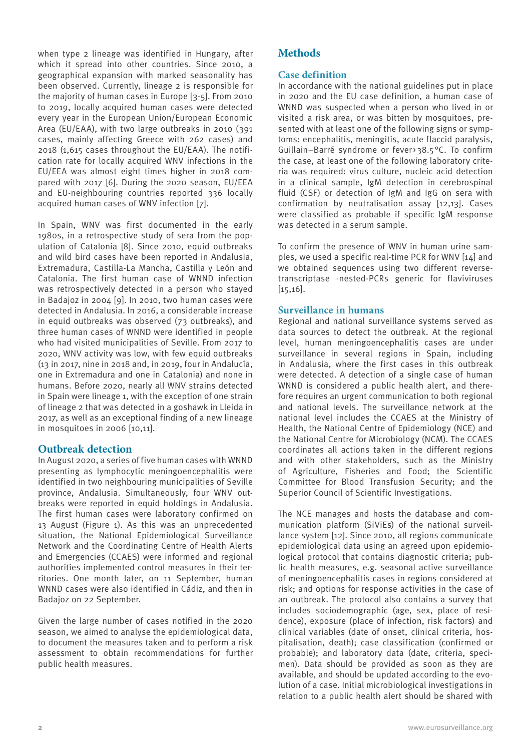when type 2 lineage was identified in Hungary, after which it spread into other countries. Since 2010, a geographical expansion with marked seasonality has been observed. Currently, lineage 2 is responsible for the majority of human cases in Europe [3-5]. From 2010 to 2019, locally acquired human cases were detected every year in the European Union/European Economic Area (EU/EAA), with two large outbreaks in 2010 (391 cases, mainly affecting Greece with 262 cases) and 2018 (1,615 cases throughout the EU/EAA). The notification rate for locally acquired WNV infections in the EU/EEA was almost eight times higher in 2018 compared with 2017 [6]. During the 2020 season, EU/EEA and EU-neighbouring countries reported 336 locally acquired human cases of WNV infection [7].

In Spain, WNV was first documented in the early 1980s, in a retrospective study of sera from the population of Catalonia [8]. Since 2010, equid outbreaks and wild bird cases have been reported in Andalusia, Extremadura, Castilla-La Mancha, Castilla y León and Catalonia. The first human case of WNND infection was retrospectively detected in a person who stayed in Badajoz in 2004 [9]. In 2010, two human cases were detected in Andalusia. In 2016, a considerable increase in equid outbreaks was observed (73 outbreaks), and three human cases of WNND were identified in people who had visited municipalities of Seville. From 2017 to 2020, WNV activity was low, with few equid outbreaks (13 in 2017, nine in 2018 and, in 2019, four in Andalucía, one in Extremadura and one in Catalonia) and none in humans. Before 2020, nearly all WNV strains detected in Spain were lineage 1, with the exception of one strain of lineage 2 that was detected in a goshawk in Lleida in 2017, as well as an exceptional finding of a new lineage in mosquitoes in 2006 [10,11].

## **Outbreak detection**

In August 2020, a series of five human cases with WNND presenting as lymphocytic meningoencephalitis were identified in two neighbouring municipalities of Seville province, Andalusia. Simultaneously, four WNV outbreaks were reported in equid holdings in Andalusia. The first human cases were laboratory confirmed on 13 August (Figure 1). As this was an unprecedented situation, the National Epidemiological Surveillance Network and the Coordinating Centre of Health Alerts and Emergencies (CCAES) were informed and regional authorities implemented control measures in their territories. One month later, on 11 September, human WNND cases were also identified in Cádiz, and then in Badajoz on 22 September.

Given the large number of cases notified in the 2020 season, we aimed to analyse the epidemiological data, to document the measures taken and to perform a risk assessment to obtain recommendations for further public health measures.

## **Methods**

## **Case definition**

In accordance with the national guidelines put in place in 2020 and the EU case definition, a human case of WNND was suspected when a person who lived in or visited a risk area, or was bitten by mosquitoes, presented with at least one of the following signs or symptoms: encephalitis, meningitis, acute flaccid paralysis, Guillain–Barré syndrome or fever>38.5°C. To confirm the case, at least one of the following laboratory criteria was required: virus culture, nucleic acid detection in a clinical sample, IgM detection in cerebrospinal fluid (CSF) or detection of IgM and IgG on sera with confirmation by neutralisation assay [12,13]. Cases were classified as probable if specific IgM response was detected in a serum sample.

To confirm the presence of WNV in human urine samples, we used a specific real-time PCR for WNV [14] and we obtained sequences using two different reversetranscriptase -nested-PCRs generic for flaviviruses [15,16].

## **Surveillance in humans**

Regional and national surveillance systems served as data sources to detect the outbreak. At the regional level, human meningoencephalitis cases are under surveillance in several regions in Spain, including in Andalusia, where the first cases in this outbreak were detected. A detection of a single case of human WNND is considered a public health alert, and therefore requires an urgent communication to both regional and national levels. The surveillance network at the national level includes the CCAES at the Ministry of Health, the National Centre of Epidemiology (NCE) and the National Centre for Microbiology (NCM). The CCAES coordinates all actions taken in the different regions and with other stakeholders, such as the Ministry of Agriculture, Fisheries and Food; the Scientific Committee for Blood Transfusion Security; and the Superior Council of Scientific Investigations.

The NCE manages and hosts the database and communication platform (SiViEs) of the national surveillance system [12]. Since 2010, all regions communicate epidemiological data using an agreed upon epidemiological protocol that contains diagnostic criteria; public health measures, e.g. seasonal active surveillance of meningoencephalitis cases in regions considered at risk; and options for response activities in the case of an outbreak. The protocol also contains a survey that includes sociodemographic (age, sex, place of residence), exposure (place of infection, risk factors) and clinical variables (date of onset, clinical criteria, hospitalisation, death); case classification (confirmed or probable); and laboratory data (date, criteria, specimen). Data should be provided as soon as they are available, and should be updated according to the evolution of a case. Initial microbiological investigations in relation to a public health alert should be shared with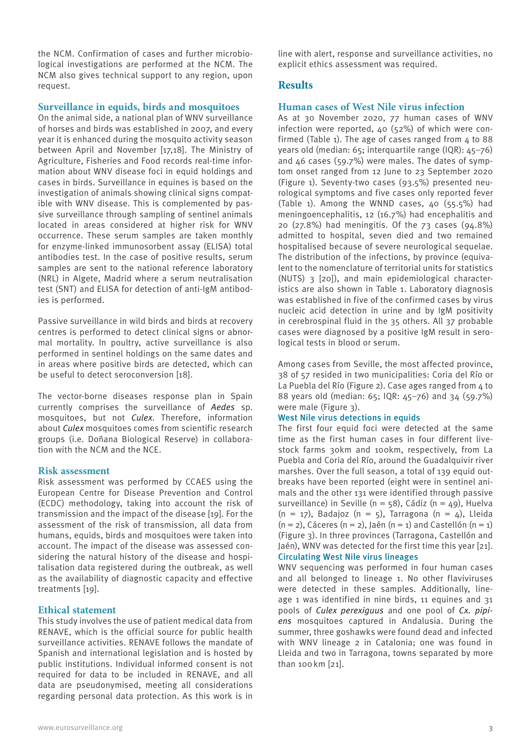the NCM. Confirmation of cases and further microbiological investigations are performed at the NCM. The NCM also gives technical support to any region, upon request.

### **Surveillance in equids, birds and mosquitoes**

On the animal side, a national plan of WNV surveillance of horses and birds was established in 2007, and every year it is enhanced during the mosquito activity season between April and November [17,18]. The Ministry of Agriculture, Fisheries and Food records real-time information about WNV disease foci in equid holdings and cases in birds. Surveillance in equines is based on the investigation of animals showing clinical signs compatible with WNV disease. This is complemented by passive surveillance through sampling of sentinel animals located in areas considered at higher risk for WNV occurrence. These serum samples are taken monthly for enzyme-linked immunosorbent assay (ELISA) total antibodies test. In the case of positive results, serum samples are sent to the national reference laboratory (NRL) in Algete, Madrid where a serum neutralisation test (SNT) and ELISA for detection of anti-IgM antibodies is performed.

Passive surveillance in wild birds and birds at recovery centres is performed to detect clinical signs or abnormal mortality. In poultry, active surveillance is also performed in sentinel holdings on the same dates and in areas where positive birds are detected, which can be useful to detect seroconversion [18].

The vector-borne diseases response plan in Spain currently comprises the surveillance of *Aedes* sp. mosquitoes, but not *Culex*. Therefore, information about *Culex* mosquitoes comes from scientific research groups (i.e. Doñana Biological Reserve) in collaboration with the NCM and the NCE.

#### **Risk assessment**

Risk assessment was performed by CCAES using the European Centre for Disease Prevention and Control (ECDC) methodology, taking into account the risk of transmission and the impact of the disease [19]. For the assessment of the risk of transmission, all data from humans, equids, birds and mosquitoes were taken into account. The impact of the disease was assessed considering the natural history of the disease and hospitalisation data registered during the outbreak, as well as the availability of diagnostic capacity and effective treatments [19].

## **Ethical statement**

This study involves the use of patient medical data from RENAVE, which is the official source for public health surveillance activities. RENAVE follows the mandate of Spanish and international legislation and is hosted by public institutions. Individual informed consent is not required for data to be included in RENAVE, and all data are pseudonymised, meeting all considerations regarding personal data protection. As this work is in line with alert, response and surveillance activities, no explicit ethics assessment was required.

## **Results**

## **Human cases of West Nile virus infection**

As at 30 November 2020, 77 human cases of WNV infection were reported, 40 (52%) of which were confirmed (Table 1). The age of cases ranged from  $4$  to 88 years old (median: 65; interquartile range (IQR): 45–76) and 46 cases (59.7%) were males. The dates of symptom onset ranged from 12 June to 23 September 2020 (Figure 1). Seventy-two cases (93.5%) presented neurological symptoms and five cases only reported fever (Table 1). Among the WNND cases, 40 (55.5%) had meningoencephalitis, 12 (16.7%) had encephalitis and 20 (27.8%) had meningitis. Of the 73 cases (94.8%) admitted to hospital, seven died and two remained hospitalised because of severe neurological sequelae. The distribution of the infections, by province (equivalent to the nomenclature of territorial units for statistics (NUTS) 3 [20]), and main epidemiological characteristics are also shown in Table 1. Laboratory diagnosis was established in five of the confirmed cases by virus nucleic acid detection in urine and by IgM positivity in cerebrospinal fluid in the 35 others. All 37 probable cases were diagnosed by a positive IgM result in serological tests in blood or serum.

Among cases from Seville, the most affected province, 38 of 57 resided in two municipalities: Coria del Río or La Puebla del Río (Figure 2). Case ages ranged from 4 to 88 years old (median: 65; IQR: 45–76) and 34 (59.7%) were male (Figure 3).

#### West Nile virus detections in equids

The first four equid foci were detected at the same time as the first human cases in four different livestock farms 30km and 100km, respectively, from La Puebla and Coria del Río, around the Guadalquivir river marshes. Over the full season, a total of 139 equid outbreaks have been reported (eight were in sentinel animals and the other 131 were identified through passive surveillance) in Seville ( $n = 58$ ), Cádiz ( $n = 49$ ), Huelva  $(n = 17)$ , Badajoz  $(n = 5)$ , Tarragona  $(n = 4)$ , Lleida  $(n = 2)$ , Cáceres  $(n = 2)$ , Jaén  $(n = 1)$  and Castellón  $(n = 1)$ (Figure 3). In three provinces (Tarragona, Castellón and Jaén), WNV was detected for the first time this year [21]. Circulating West Nile virus lineages

WNV sequencing was performed in four human cases and all belonged to lineage 1. No other flaviviruses were detected in these samples. Additionally, lineage 1 was identified in nine birds, 11 equines and 31 pools of *Culex perexiguus* and one pool of *Cx. pipiens* mosquitoes captured in Andalusia. During the summer, three goshawks were found dead and infected with WNV lineage 2 in Catalonia; one was found in Lleida and two in Tarragona, towns separated by more than 100km [21].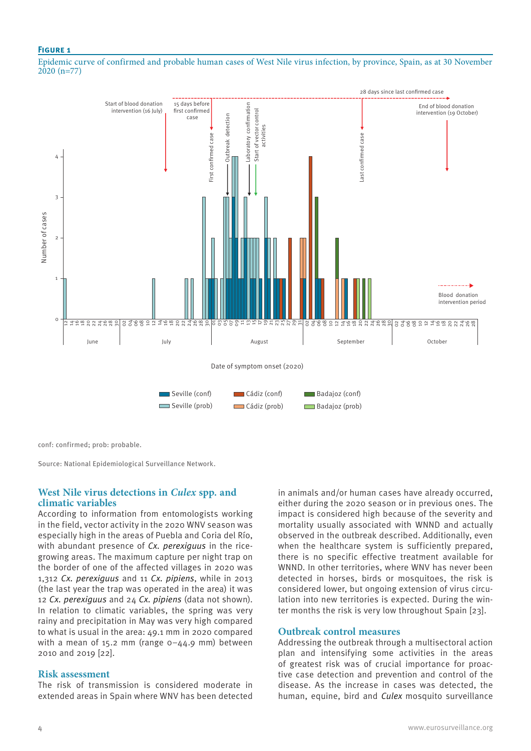#### **Figure 1**

Epidemic curve of confirmed and probable human cases of West Nile virus infection, by province, Spain, as at 30 November  $2020(n=77)$ 



conf: confirmed; prob: probable.

Source: National Epidemiological Surveillance Network.

## **West Nile virus detections in** *Culex* **spp. and climatic variables**

According to information from entomologists working in the field, vector activity in the 2020 WNV season was especially high in the areas of Puebla and Coria del Río, with abundant presence of *Cx. perexiguus* in the ricegrowing areas. The maximum capture per night trap on the border of one of the affected villages in 2020 was 1,312 *Cx. perexiguus* and 11 *Cx. pipiens*, while in 2013 (the last year the trap was operated in the area) it was 12 *Cx. perexiguus* and 24 *Cx. pipiens* (data not shown). In relation to climatic variables, the spring was very rainy and precipitation in May was very high compared to what is usual in the area: 49.1 mm in 2020 compared with a mean of 15.2 mm (range  $0-44.9$  mm) between 2010 and 2019 [22].

#### **Risk assessment**

The risk of transmission is considered moderate in extended areas in Spain where WNV has been detected in animals and/or human cases have already occurred, either during the 2020 season or in previous ones. The impact is considered high because of the severity and mortality usually associated with WNND and actually observed in the outbreak described. Additionally, even when the healthcare system is sufficiently prepared, there is no specific effective treatment available for WNND. In other territories, where WNV has never been detected in horses, birds or mosquitoes, the risk is considered lower, but ongoing extension of virus circulation into new territories is expected. During the winter months the risk is very low throughout Spain [23].

#### **Outbreak control measures**

Addressing the outbreak through a multisectoral action plan and intensifying some activities in the areas of greatest risk was of crucial importance for proactive case detection and prevention and control of the disease. As the increase in cases was detected, the human, equine, bird and *Culex* mosquito surveillance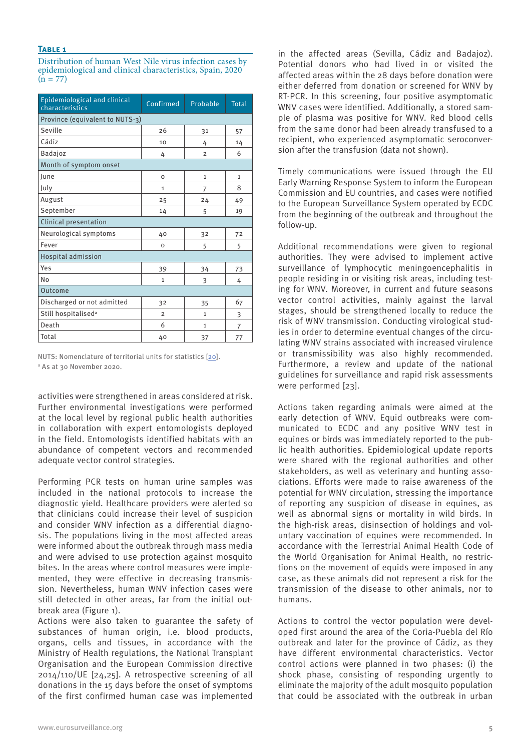#### **Table 1**

Distribution of human West Nile virus infection cases by epidemiological and clinical characteristics, Spain, 2020  $(n = 77)$ 

| Epidemiological and clinical<br>characteristics | Confirmed      | Probable       | <b>Total</b> |
|-------------------------------------------------|----------------|----------------|--------------|
| Province (equivalent to NUTS-3)                 |                |                |              |
| Seville                                         | 26             | 31             | 57           |
| Cádiz                                           | 10             | 4              | 14           |
| <b>Badajoz</b>                                  | 4              | $\overline{2}$ | 6            |
| Month of symptom onset                          |                |                |              |
| lune                                            | O              | $\mathbf{1}$   | $\mathbf{1}$ |
| July                                            | $\mathbf{1}$   | $\overline{7}$ | 8            |
| August                                          | 25             | 24             | 49           |
| September                                       | 14             | 5              | 19           |
| <b>Clinical presentation</b>                    |                |                |              |
| Neurological symptoms                           | 40             | 32             | 72           |
| Fever                                           | $\mathbf 0$    | 5              | 5            |
| <b>Hospital admission</b>                       |                |                |              |
| Yes                                             | 39             | 34             | 73           |
| No                                              | $\mathbf{1}$   | 3              | 4            |
| Outcome                                         |                |                |              |
| Discharged or not admitted                      | 32             | 35             | 67           |
| Still hospitalised <sup>a</sup>                 | $\overline{2}$ | $\mathbf{1}$   | 3            |
| Death                                           | 6              | $\mathbf{1}$   | 7            |
| Total                                           | 40             | 37             | 77           |

NUTS: Nomenclature of territorial units for statistics [20]. a As at 30 November 2020.

activities were strengthened in areas considered at risk. Further environmental investigations were performed at the local level by regional public health authorities in collaboration with expert entomologists deployed in the field. Entomologists identified habitats with an abundance of competent vectors and recommended adequate vector control strategies.

Performing PCR tests on human urine samples was included in the national protocols to increase the diagnostic yield. Healthcare providers were alerted so that clinicians could increase their level of suspicion and consider WNV infection as a differential diagnosis. The populations living in the most affected areas were informed about the outbreak through mass media and were advised to use protection against mosquito bites. In the areas where control measures were implemented, they were effective in decreasing transmission. Nevertheless, human WNV infection cases were still detected in other areas, far from the initial outbreak area (Figure 1).

Actions were also taken to guarantee the safety of substances of human origin, i.e. blood products, organs, cells and tissues, in accordance with the Ministry of Health regulations, the National Transplant Organisation and the European Commission directive 2014/110/UE [24,25]. A retrospective screening of all donations in the 15 days before the onset of symptoms of the first confirmed human case was implemented in the affected areas (Sevilla, Cádiz and Badajoz). Potential donors who had lived in or visited the affected areas within the 28 days before donation were either deferred from donation or screened for WNV by RT-PCR. In this screening, four positive asymptomatic WNV cases were identified. Additionally, a stored sample of plasma was positive for WNV. Red blood cells from the same donor had been already transfused to a recipient, who experienced asymptomatic seroconversion after the transfusion (data not shown).

Timely communications were issued through the EU Early Warning Response System to inform the European Commission and EU countries, and cases were notified to the European Surveillance System operated by ECDC from the beginning of the outbreak and throughout the follow-up.

Additional recommendations were given to regional authorities. They were advised to implement active surveillance of lymphocytic meningoencephalitis in people residing in or visiting risk areas, including testing for WNV. Moreover, in current and future seasons vector control activities, mainly against the larval stages, should be strengthened locally to reduce the risk of WNV transmission. Conducting virological studies in order to determine eventual changes of the circulating WNV strains associated with increased virulence or transmissibility was also highly recommended. Furthermore, a review and update of the national guidelines for surveillance and rapid risk assessments were performed [23].

Actions taken regarding animals were aimed at the early detection of WNV. Equid outbreaks were communicated to ECDC and any positive WNV test in equines or birds was immediately reported to the public health authorities. Epidemiological update reports were shared with the regional authorities and other stakeholders, as well as veterinary and hunting associations. Efforts were made to raise awareness of the potential for WNV circulation, stressing the importance of reporting any suspicion of disease in equines, as well as abnormal signs or mortality in wild birds. In the high-risk areas, disinsection of holdings and voluntary vaccination of equines were recommended. In accordance with the Terrestrial Animal Health Code of the World Organisation for Animal Health, no restrictions on the movement of equids were imposed in any case, as these animals did not represent a risk for the transmission of the disease to other animals, nor to humans.

Actions to control the vector population were developed first around the area of the Coria-Puebla del Río outbreak and later for the province of Cádiz, as they have different environmental characteristics. Vector control actions were planned in two phases: (i) the shock phase, consisting of responding urgently to eliminate the majority of the adult mosquito population that could be associated with the outbreak in urban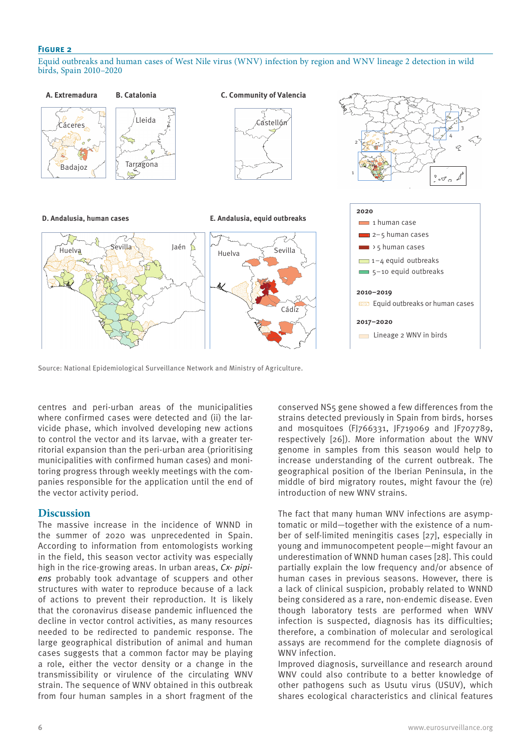### **Figure 2**

Equid outbreaks and human cases of West Nile virus (WNV) infection by region and WNV lineage 2 detection in wild birds, Spain 2010–2020



Source: National Epidemiological Surveillance Network and Ministry of Agriculture.

centres and peri-urban areas of the municipalities where confirmed cases were detected and (ii) the larvicide phase, which involved developing new actions to control the vector and its larvae, with a greater territorial expansion than the peri-urban area (prioritising municipalities with confirmed human cases) and monitoring progress through weekly meetings with the companies responsible for the application until the end of the vector activity period.

## **Discussion**

The massive increase in the incidence of WNND in the summer of 2020 was unprecedented in Spain. According to information from entomologists working in the field, this season vector activity was especially high in the rice-growing areas. In urban areas, *Cx- pipiens* probably took advantage of scuppers and other structures with water to reproduce because of a lack of actions to prevent their reproduction. It is likely that the coronavirus disease pandemic influenced the decline in vector control activities, as many resources needed to be redirected to pandemic response. The large geographical distribution of animal and human cases suggests that a common factor may be playing a role, either the vector density or a change in the transmissibility or virulence of the circulating WNV strain. The sequence of WNV obtained in this outbreak from four human samples in a short fragment of the

conserved NS5 gene showed a few differences from the strains detected previously in Spain from birds, horses and mosquitoes (FJ766331, JF719069 and JF707789, respectively [26]). More information about the WNV genome in samples from this season would help to increase understanding of the current outbreak. The geographical position of the Iberian Peninsula, in the middle of bird migratory routes, might favour the (re) introduction of new WNV strains.

The fact that many human WNV infections are asymptomatic or mild—together with the existence of a number of self-limited meningitis cases [27], especially in young and immunocompetent people—might favour an underestimation of WNND human cases [28]. This could partially explain the low frequency and/or absence of human cases in previous seasons. However, there is a lack of clinical suspicion, probably related to WNND being considered as a rare, non-endemic disease. Even though laboratory tests are performed when WNV infection is suspected, diagnosis has its difficulties; therefore, a combination of molecular and serological assays are recommend for the complete diagnosis of WNV infection.

Improved diagnosis, surveillance and research around WNV could also contribute to a better knowledge of other pathogens such as Usutu virus (USUV), which shares ecological characteristics and clinical features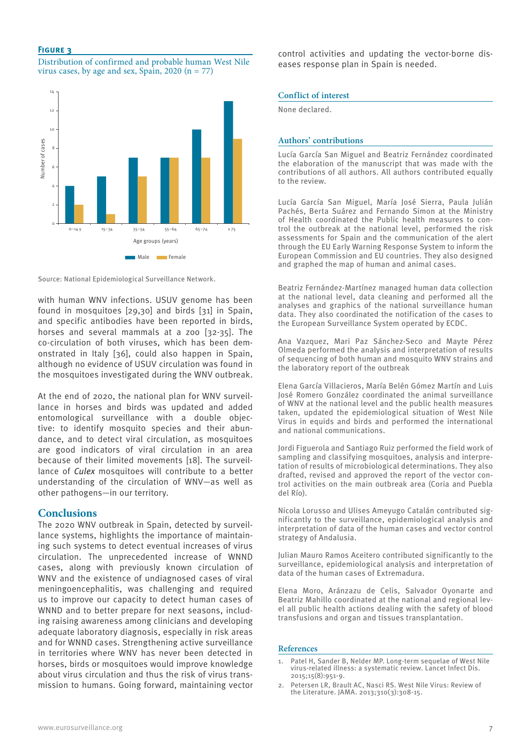#### **Figure 3**

Distribution of confirmed and probable human West Nile virus cases, by age and sex, Spain, 2020  $(n = 77)$ 



Source: National Epidemiological Surveillance Network.

with human WNV infections. USUV genome has been found in mosquitoes [29,30] and birds [31] in Spain, and specific antibodies have been reported in birds, horses and several mammals at a zoo [32-35]. The co-circulation of both viruses, which has been demonstrated in Italy [36], could also happen in Spain, although no evidence of USUV circulation was found in the mosquitoes investigated during the WNV outbreak.

At the end of 2020, the national plan for WNV surveillance in horses and birds was updated and added entomological surveillance with a double objective: to identify mosquito species and their abundance, and to detect viral circulation, as mosquitoes are good indicators of viral circulation in an area because of their limited movements [18]. The surveillance of *Culex* mosquitoes will contribute to a better understanding of the circulation of WNV—as well as other pathogens—in our territory.

### **Conclusions**

The 2020 WNV outbreak in Spain, detected by surveillance systems, highlights the importance of maintaining such systems to detect eventual increases of virus circulation. The unprecedented increase of WNND cases, along with previously known circulation of WNV and the existence of undiagnosed cases of viral meningoencephalitis, was challenging and required us to improve our capacity to detect human cases of WNND and to better prepare for next seasons, including raising awareness among clinicians and developing adequate laboratory diagnosis, especially in risk areas and for WNND cases. Strengthening active surveillance in territories where WNV has never been detected in horses, birds or mosquitoes would improve knowledge about virus circulation and thus the risk of virus transmission to humans. Going forward, maintaining vector control activities and updating the vector-borne diseases response plan in Spain is needed.

#### **Conflict of interest**

None declared.

#### **Authors' contributions**

Lucía García San Miguel and Beatriz Fernández coordinated the elaboration of the manuscript that was made with the contributions of all authors. All authors contributed equally to the review.

Lucía García San Miguel, María José Sierra, Paula Julián Pachés, Berta Suárez and Fernando Simon at the Ministry of Health coordinated the Public health measures to control the outbreak at the national level, performed the risk assessments for Spain and the communication of the alert through the EU Early Warning Response System to inform the European Commission and EU countries. They also designed and graphed the map of human and animal cases.

Beatriz Fernández-Martínez managed human data collection at the national level, data cleaning and performed all the analyses and graphics of the national surveillance human data. They also coordinated the notification of the cases to the European Surveillance System operated by ECDC.

Ana Vazquez, Mari Paz Sánchez-Seco and Mayte Pérez Olmeda performed the analysis and interpretation of results of sequencing of both human and mosquito WNV strains and the laboratory report of the outbreak

Elena García Villacieros, María Belén Gómez Martín and Luis José Romero González coordinated the animal surveillance of WNV at the national level and the public health measures taken, updated the epidemiological situation of West Nile Virus in equids and birds and performed the international and national communications.

Jordi Figuerola and Santiago Ruiz performed the field work of sampling and classifying mosquitoes, analysis and interpretation of results of microbiological determinations. They also drafted, revised and approved the report of the vector control activities on the main outbreak area (Coria and Puebla del Río).

Nicola Lorusso and Ulises Ameyugo Catalán contributed significantly to the surveillance, epidemiological analysis and interpretation of data of the human cases and vector control strategy of Andalusia.

Julian Mauro Ramos Aceitero contributed significantly to the surveillance, epidemiological analysis and interpretation of data of the human cases of Extremadura.

Elena Moro, Aránzazu de Celis, Salvador Oyonarte and Beatriz Mahillo coordinated at the national and regional level all public health actions dealing with the safety of blood transfusions and organ and tissues transplantation.

#### **References**

- 1. Patel H, Sander B, Nelder MP. Long-term sequelae of West Nile virus-related illness: a systematic review. Lancet Infect Dis. 2015;15(8):951-9.
- 2. Petersen LR, Brault AC, Nasci RS. West Nile Virus: Review of the Literature. JAMA. 2013;310(3):308-15.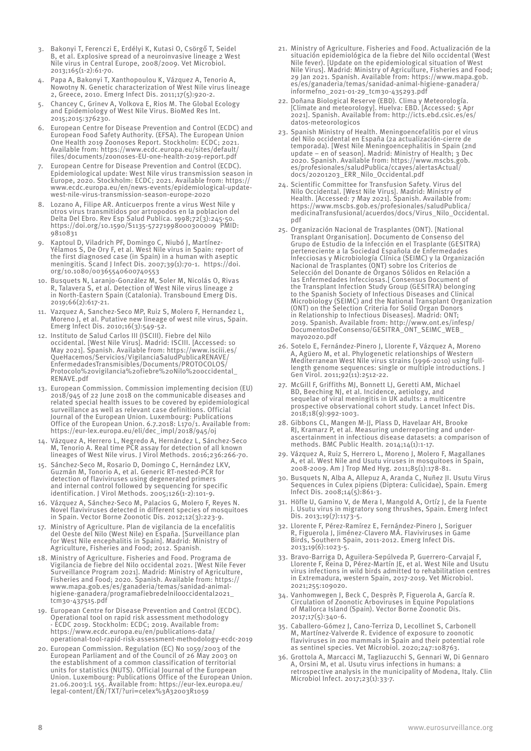- 3. Bakonyi T, Ferenczi E, Erdélyi K, Kutasi O, Csörgő T, Seidel B, et al. Explosive spread of a neuroinvasive lineage 2 West Nile virus in Central Europe, 2008/2009. Vet Microbiol. 2013;165(1-2):61-70.
- 4. Papa A, Bakonyi T, Xanthopoulou K, Vázquez A, Tenorio A, Nowotny N. Genetic characterization of West Nile virus lineage 2, Greece, 2010. Emerg Infect Dis. 2011;17(5):920-2.
- 5. Chancey C, Grinev A, Volkova E, Rios M. The Global Ecology and Epidemiology of West Nile Virus. BioMed Res Int. 2015;2015:376230.
- 6. European Centre for Disease Prevention and Control (ECDC) and European Food Safety Authority. (EFSA). The European Union One Health 2019 Zoonoses Report. Stockholm: ECDC; 2021. Available from: https://www.ecdc.europa.eu/sites/default/ files/documents/zoonoses-EU-one-health-2019-report.pdf
- 7. European Centre for Disease Prevention and Control (ECDC). Epidemiological update: West Nile virus transmission season in Europe, 2020. Stockholm: ECDC; 2021. Available from: https:// www.ecdc.europa.eu/en/news-events/epidemiological-updatewest-nile-virus-transmission-season-europe-2020
- 8. Lozano A, Filipe AR. Anticuerpos frente a virus West Nile y otros virus transmitidos por artropodos en la poblacion del Delta Del Ebro. Rev Esp Salud Publica. 1998;72(3):245-50. https://doi.org/10.1590/S1135-57271998000300009 PMID: 9810831
- Kaptoul D, Viladrich PF, Domingo C, Niubó J, Martínez-Yélamos S, De Ory F, et al. West Nile virus in Spain: report of the first diagnosed case (in Spain) in a human with aseptic meningitis. Scand J Infect Dis. 2007;39(1):70-1. https://doi. org/10.1080/00365540600740553
- 10. Busquets N, Laranjo-González M, Soler M, Nicolás O, Rivas R, Talavera S, et al. Detection of West Nile virus lineage 2 in North-Eastern Spain (Catalonia). Transbound Emerg Dis. 2019;66(2):617-21.
- 11. Vazquez A, Sanchez-Seco MP, Ruiz S, Molero F, Hernandez L, Moreno J, et al. Putative new lineage of west nile virus, Spain. Emerg Infect Dis. 2010;16(3):549-52.
- 12. Instituto de Salud Carlos III (ISCIII). Fiebre del Nilo occidental. [West Nile Virus]. Madrid: ISCIII. [Accessed: 10 May 2021]. Spanish. Available from: https://www.isciii.es/ QueHacemos/Servicios/VigilanciaSaludPublicaRENAVE/ EnfermedadesTransmisibles/Documents/PROTOCOLOS/ Protocolo%20vigilancia%20fiebre%20Nilo%20occidental\_ RENAVE.pdf
- 13. European Commission. Commission implementing decision (EU) 2018/945 of 22 June 2018 on the communicable diseases and related special health issues to be covered by epidemiological surveillance as well as relevant case definitions. Official Journal of the European Union. Luxembourg: Publications Office of the European Union. 6.7.2018: L170/1. Available from: https://eur-lex.europa.eu/eli/dec\_impl/2018/945/oj
- 14. Vázquez A, Herrero L, Negredo A, Hernández L, Sánchez-Seco M, Tenorio A. Real time PCR assay for detection of all known lineages of West Nile virus. J Virol Methods. 2016;236:266-70.
- 15. Sánchez-Seco M, Rosario D, Domingo C, Hernández LKV, Guzmán M, Tonorio A, et al. Generic RT-nested-PCR for detection of flaviviruses using degenerated primers and internal control followed by sequencing for specific identification. J Virol Methods. 2005;126(1-2):101-9.
- 16. Vázquez A, Sánchez-Seco M, Palacios G, Molero F, Reyes N. Novel flaviviruses detected in different species of mosquitoes in Spain. Vector Borne Zoonotic Dis. 2012;12(3):223-9.
- 17. Ministry of Agriculture. Plan de vigilancia de la encefalitis del Oeste del Nilo (West Nile) en España. [Surveillance plan for West Nile encephalitis in Spain]. Madrid: Ministry of Agriculture, Fisheries and Food; 2012. Spanish.
- 18. Ministry of Agriculture. Fisheries and Food. Programa de Vigilancia de fiebre del Nilo occidental 2021. [West Nile Fever Surveillance Program 2021]. Madrid: Ministry of Agriculture, Fisheries and Food; 2020. Spanish. Available from: https:// www.mapa.gob.es/es/ganaderia/temas/sanidad-animalhigiene-ganadera/programafiebredelnilooccidental2021\_ tcm30-437515.pdf
- 19. European Centre for Disease Prevention and Control (ECDC). Operational tool on rapid risk assessment methodology - ECDC 2019. Stockholm: ECDC; 2019. Available from: https://www.ecdc.europa.eu/en/publications-data/ operational-tool-rapid-risk-assessment-methodology-ecdc-2019
- 20. European Commission. Regulation (EC) No 1059/2003 of the European Parliament and of the Council of 26 May 2003 on the establishment of a common classification of territorial units for statistics (NUTS). Official Journal of the European Union. Luxembourg: Publications Office of the European Union. 21.06.2003:L 155. Available from: https://eur-lex.europa.eu/ legal-content/EN/TXT/?uri=celex%3A32003R1059
- 21. Ministry of Agriculture. Fisheries and Food. Actualización de la situación epidemiológica de la fiebre del Nilo occidental (West Nile fever). [Update on the epidemiological situation of West Nile Virus]. Madrid: Ministry of Agriculture, Fisheries and Food; 29 Jan 2021. Spanish. Available from: https://www.mapa.gob. es/es/ganaderia/temas/sanidad-animal-higiene-ganadera/ informefno\_2021-01-29\_tcm30-435293.pdf
- 22. Doñana Biological Reserve (EBD). Clima y Meteorología. [Climate and meteorology]. Huelva: EBD. [Accessed: 5 Apr 2021]. Spanish. Available from: http://icts.ebd.csic.es/es/ datos-meteorologicos
- 23. Spanish Ministry of Health. Meningoencefalitis por el virus del Nilo occidental en España (2a actualización-cierre de temporada). [West Nile Meningoencephalitis in Spain (2nd update – en of season]. Madrid: Ministry of Health; 3 Dec 2020. Spanish. Available from: https://www.mscbs.gob. es/profesionales/saludPublica/ccayes/alertasActual/ docs/20201203\_ERR\_Nilo\_Occidental.pdf
- 24. Scientific Committee for Transfusion Safety. Virus del Nilo Occidental. [West Nile Virus]. Madrid: Ministry of Health. [Accessed: 7 May 2021]. Spanish. Available from: https://www.mscbs.gob.es/profesionales/saludPublica/ medicinaTransfusional/acuerdos/docs/Virus\_Nilo\_Occidental. pdf
- 25. Organización Nacional de Trasplantes (ONT). [National Transplant Organisation]. Documento de Consenso del Grupo de Estudio de la Infección en el Trasplante (GESITRA) perteneciente a la Sociedad Española de Enfermedades Infecciosas y Microbiología Clínica (SEIMC) y la Organización Nacional de Trasplantes (ONT) sobre los Criterios de Selección del Donante de Órganos Sólidos en Relación a las Enfermedades Infecciosas.[ Consensus Document of the Transplant Infection Study Group (GESITRA) belonging to the Spanish Society of Infectious Diseases and Clinical Microbiology (SEIMC) and the National Transplant Organization (ONT) on the Selection Criteria for Solid Organ Donors in Relationship to Infectious Diseases]. Madrid: ONT; 2019. Spanish. Available from: http://www.ont.es/infesp/ DocumentosDeConsenso/GESITRA\_ONT\_SEIMC\_WEB\_ mayo2020.pdf
- 26. Sotelo E, Fernández-Pinero J, Llorente F, Vázquez A, Moreno A, Agüero M, et al. Phylogenetic relationships of Western Mediterranean West Nile virus strains (1996-2010) using fulllength genome sequences: single or multiple introductions. J Gen Virol. 2011;92(11):2512-22.
- 27. McGill F, Griffiths MJ, Bonnett LJ, Geretti AM, Michael BD, Beeching NJ, et al. Incidence, aetiology, and sequelae of viral meningitis in UK adults: a multicentre prospective observational cohort study. Lancet Infect Dis. 2018;18(9):992-1003.
- 28. Gibbons CL, Mangen M-JJ, Plass D, Havelaar AH, Brooke RJ, Kramarz P, et al. Measuring underreporting and underascertainment in infectious disease datasets: a comparison of methods. BMC Public Health. 2014;14(1):1-17.
- 29. Vázquez A, Ruiz S, Herrero L, Moreno J, Molero F, Magallanes A, et al. West Nile and Usutu viruses in mosquitoes in Spain, 2008-2009. Am J Trop Med Hyg. 2011;85(1):178-81.
- 30. Busquets N, Alba A, Allepuz A, Aranda C, Nuñez JI. Usutu Virus Sequences in Culex pipiens (Diptera: Culicidae), Spain. Emerg Infect Dis. 2008;14(5):861-3.
- 31. Höfle U, Gamino V, de Mera I, Mangold A, Ortíz J, de la Fuente J. Usutu virus in migratory song thrushes, Spain. Emerg Infect Dis. 2013;19(7):1173-5.
- 32. Llorente F, Pérez-Ramírez E, Fernández-Pinero J, Soriguer R, Figuerola J, Jiménez-Clavero MÁ. Flaviviruses in Game Birds, Southern Spain, 2011-2012. Emerg Infect Dis. 2013;19(6):1023-5.
- 33. Bravo-Barriga D, Aguilera-Sepúlveda P, Guerrero-Carvajal F, Llorente F, Reina D, Pérez-Martín JE, et al. West Nile and Usutu virus infections in wild birds admitted to rehabilitation centres in Extremadura, western Spain, 2017-2019. Vet Microbiol. 2021;255:109020.
- 34. Vanhomwegen J, Beck C, Desprès P, Figuerola A, García R. Circulation of Zoonotic Arboviruses in Equine Populations of Mallorca Island (Spain). Vector Borne Zoonotic Dis. 2017;17(5):340-6.
- 35. Caballero-Gómez J, Cano-Terriza D, Lecollinet S, Carbonell M, Martínez-Valverde R. Evidence of exposure to zoonotic flaviviruses in zoo mammals in Spain and their potential role as sentinel species. Vet Microbiol. 2020;247:108763.
- 36. Grottola A, Marcacci M, Tagliazucchi S, Gennari W, Di Gennaro A, Orsini M, et al. Usutu virus infections in humans: a retrospective analysis in the municipality of Modena, Italy. Clin Microbiol Infect. 2017;23(1):33-7.